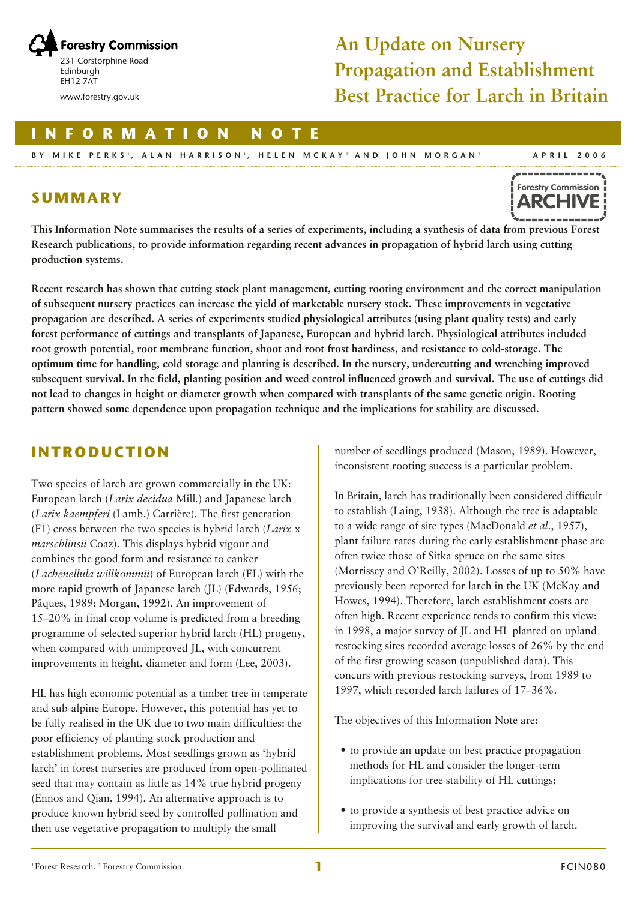

# **An Update on Nursery Propagation and Establishment Best Practice for Larch in Britain**

#### **INFORMATION NOTE**

**B Y MIKE PERKS** <sup>1</sup> **, ALAN HARRISON** <sup>1</sup> **, HELEN MCKAY** <sup>2</sup> **AND JOHN MORGAN** <sup>2</sup>

**SUMMARY**



**A PRIL 2006**

**This Information Note summarises the results of a series of experiments, including a synthesis of data from previous Forest Research publications, to provide information regarding recent advances in propagation of hybrid larch using cutting production systems.** 

**Recent research has shown that cutting stock plant management, cutting rooting environment and the correct manipulation of subsequent nursery practices can increase the yield of marketable nursery stock. These improvements in vegetative propagation are described. A series of experiments studied physiological attributes (using plant quality tests) and early forest performance of cuttings and transplants of Japanese, European and hybrid larch. Physiological attributes included root growth potential, root membrane function, shoot and root frost hardiness, and resistance to cold-storage. The optimum time for handling, cold storage and planting is described. In the nursery, undercutting and wrenching improved subsequent survival. In the field, planting position and weed control influenced growth and survival. The use of cuttings did not lead to changes in height or diameter growth when compared with transplants of the same genetic origin. Rooting pattern showed some dependence upon propagation technique and the implications for stability are discussed.** 

## **INTRODUCTION**

Two species of larch are grown commercially in the UK: European larch (*Larix decidua* Mill*.*) and Japanese larch (*Larix kaempferi* (Lamb.) Carrière). The first generation (F1) cross between the two species is hybrid larch (*Larix* x *marschlinsii* Coaz). This displays hybrid vigour and combines the good form and resistance to canker (*Lachenellula willkommii*) of European larch (EL) with the more rapid growth of Japanese larch (JL) (Edwards, 1956; Pâques, 1989; Morgan, 1992). An improvement of 15–20% in final crop volume is predicted from a breeding programme of selected superior hybrid larch (HL) progeny, when compared with unimproved JL, with concurrent improvements in height, diameter and form (Lee, 2003).

HL has high economic potential as a timber tree in temperate and sub-alpine Europe. However, this potential has yet to be fully realised in the UK due to two main difficulties: the poor efficiency of planting stock production and establishment problems. Most seedlings grown as 'hybrid larch' in forest nurseries are produced from open-pollinated seed that may contain as little as 14% true hybrid progeny (Ennos and Qian, 1994). An alternative approach is to produce known hybrid seed by controlled pollination and then use vegetative propagation to multiply the small

number of seedlings produced (Mason, 1989). However, inconsistent rooting success is a particular problem.

In Britain, larch has traditionally been considered difficult to establish (Laing, 1938). Although the tree is adaptable to a wide range of site types (MacDonald *et al*., 1957), plant failure rates during the early establishment phase are often twice those of Sitka spruce on the same sites (Morrissey and O'Reilly, 2002). Losses of up to 50% have previously been reported for larch in the UK (McKay and Howes, 1994). Therefore, larch establishment costs are often high. Recent experience tends to confirm this view: in 1998, a major survey of JL and HL planted on upland restocking sites recorded average losses of 26% by the end of the first growing season (unpublished data). This concurs with previous restocking surveys, from 1989 to 1997, which recorded larch failures of 17–36%.

The objectives of this Information Note are:

- to provide an update on best practice propagation methods for HL and consider the longer-term implications for tree stability of HL cuttings;
- to provide a synthesis of best practice advice on improving the survival and early growth of larch.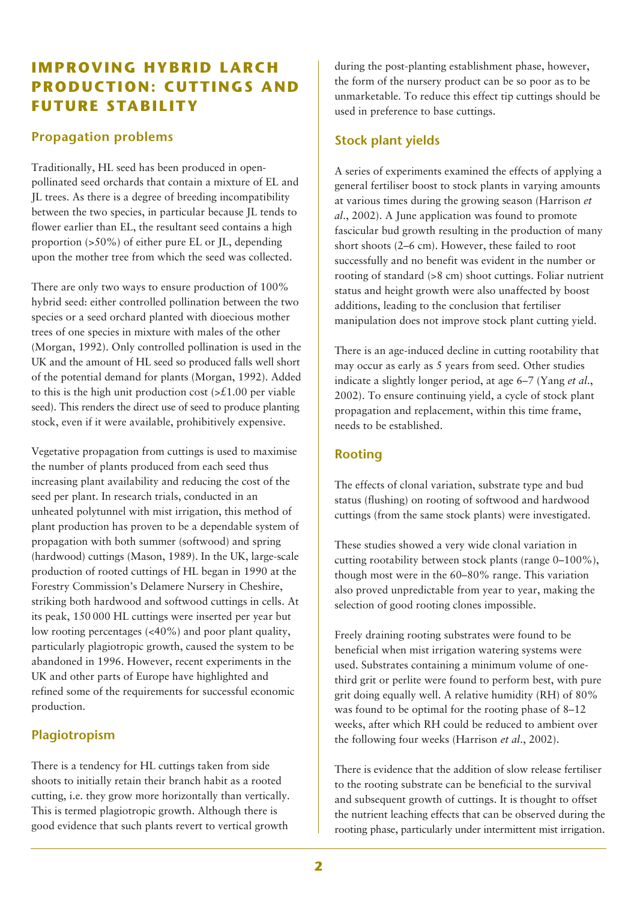## **IMPROVING HYBRID LARCH PRODUCTION: CUTTINGS AND FUTURE STABILITY**

### **Propagation problems**

Traditionally, HL seed has been produced in openpollinated seed orchards that contain a mixture of EL and JL trees. As there is a degree of breeding incompatibility between the two species, in particular because JL tends to flower earlier than EL, the resultant seed contains a high proportion (>50%) of either pure EL or JL, depending upon the mother tree from which the seed was collected.

There are only two ways to ensure production of 100% hybrid seed: either controlled pollination between the two species or a seed orchard planted with dioecious mother trees of one species in mixture with males of the other (Morgan, 1992). Only controlled pollination is used in the UK and the amount of HL seed so produced falls well short of the potential demand for plants (Morgan, 1992). Added to this is the high unit production cost  $\geq \pounds 1.00$  per viable seed). This renders the direct use of seed to produce planting stock, even if it were available, prohibitively expensive.

Vegetative propagation from cuttings is used to maximise the number of plants produced from each seed thus increasing plant availability and reducing the cost of the seed per plant. In research trials, conducted in an unheated polytunnel with mist irrigation, this method of plant production has proven to be a dependable system of propagation with both summer (softwood) and spring (hardwood) cuttings (Mason, 1989). In the UK, large-scale production of rooted cuttings of HL began in 1990 at the Forestry Commission's Delamere Nursery in Cheshire, striking both hardwood and softwood cuttings in cells. At its peak, 150 000 HL cuttings were inserted per year but low rooting percentages (<40%) and poor plant quality, particularly plagiotropic growth, caused the system to be abandoned in 1996. However, recent experiments in the UK and other parts of Europe have highlighted and refined some of the requirements for successful economic production.

### **Plagiotropism**

There is a tendency for HL cuttings taken from side shoots to initially retain their branch habit as a rooted cutting, i.e. they grow more horizontally than vertically. This is termed plagiotropic growth. Although there is good evidence that such plants revert to vertical growth

during the post-planting establishment phase, however, the form of the nursery product can be so poor as to be unmarketable. To reduce this effect tip cuttings should be used in preference to base cuttings.

### **Stock plant yields**

A series of experiments examined the effects of applying a general fertiliser boost to stock plants in varying amounts at various times during the growing season (Harrison *et al*., 2002). A June application was found to promote fascicular bud growth resulting in the production of many short shoots (2–6 cm). However, these failed to root successfully and no benefit was evident in the number or rooting of standard (>8 cm) shoot cuttings. Foliar nutrient status and height growth were also unaffected by boost additions, leading to the conclusion that fertiliser manipulation does not improve stock plant cutting yield.

There is an age-induced decline in cutting rootability that may occur as early as 5 years from seed. Other studies indicate a slightly longer period, at age 6–7 (Yang *et al*., 2002). To ensure continuing yield, a cycle of stock plant propagation and replacement, within this time frame, needs to be established.

### **Rooting**

The effects of clonal variation, substrate type and bud status (flushing) on rooting of softwood and hardwood cuttings (from the same stock plants) were investigated.

These studies showed a very wide clonal variation in cutting rootability between stock plants (range 0–100%), though most were in the 60–80% range. This variation also proved unpredictable from year to year, making the selection of good rooting clones impossible.

Freely draining rooting substrates were found to be beneficial when mist irrigation watering systems were used. Substrates containing a minimum volume of onethird grit or perlite were found to perform best, with pure grit doing equally well. A relative humidity (RH) of 80% was found to be optimal for the rooting phase of 8–12 weeks, after which RH could be reduced to ambient over the following four weeks (Harrison *et al*., 2002).

There is evidence that the addition of slow release fertiliser to the rooting substrate can be beneficial to the survival and subsequent growth of cuttings. It is thought to offset the nutrient leaching effects that can be observed during the rooting phase, particularly under intermittent mist irrigation.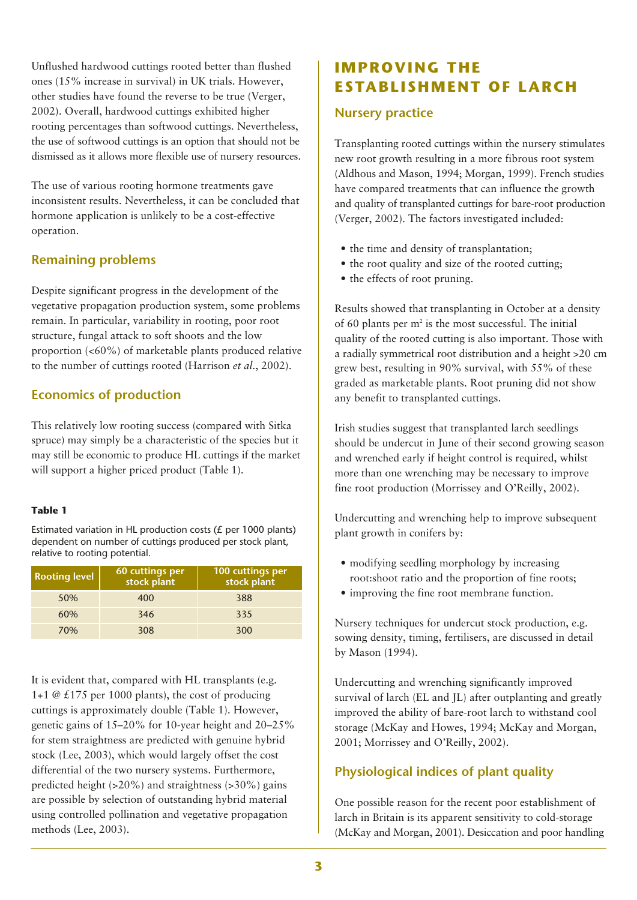Unflushed hardwood cuttings rooted better than flushed ones (15% increase in survival) in UK trials. However, other studies have found the reverse to be true (Verger, 2002). Overall, hardwood cuttings exhibited higher rooting percentages than softwood cuttings. Nevertheless, the use of softwood cuttings is an option that should not be dismissed as it allows more flexible use of nursery resources.

The use of various rooting hormone treatments gave inconsistent results. Nevertheless, it can be concluded that hormone application is unlikely to be a cost-effective operation.

### **Remaining problems**

Despite significant progress in the development of the vegetative propagation production system, some problems remain. In particular, variability in rooting, poor root structure, fungal attack to soft shoots and the low proportion (<60%) of marketable plants produced relative to the number of cuttings rooted (Harrison *et al*., 2002).

### **Economics of production**

This relatively low rooting success (compared with Sitka spruce) may simply be a characteristic of the species but it may still be economic to produce HL cuttings if the market will support a higher priced product (Table 1).

#### **Table 1**

Estimated variation in HL production costs ( $E$  per 1000 plants) dependent on number of cuttings produced per stock plant, relative to rooting potential.

| <b>Rooting level</b> | 60 cuttings per<br>stock plant | 100 cuttings per<br>stock plant |
|----------------------|--------------------------------|---------------------------------|
| 50%                  | 400                            | 388                             |
| 60%                  | 346                            | 335                             |
| 70%                  | 308                            | 300                             |

It is evident that, compared with HL transplants (e.g. 1+1  $\&$  £175 per 1000 plants), the cost of producing cuttings is approximately double (Table 1). However, genetic gains of 15–20% for 10-year height and 20–25% for stem straightness are predicted with genuine hybrid stock (Lee, 2003), which would largely offset the cost differential of the two nursery systems. Furthermore, predicted height (>20%) and straightness (>30%) gains are possible by selection of outstanding hybrid material using controlled pollination and vegetative propagation methods (Lee, 2003).

## **IMPROVING THE ESTABLISHMENT OF LARCH**

#### **Nursery practice**

Transplanting rooted cuttings within the nursery stimulates new root growth resulting in a more fibrous root system (Aldhous and Mason, 1994; Morgan, 1999). French studies have compared treatments that can influence the growth and quality of transplanted cuttings for bare-root production (Verger, 2002). The factors investigated included:

- the time and density of transplantation;
- the root quality and size of the rooted cutting;
- the effects of root pruning.

Results showed that transplanting in October at a density of 60 plants per  $m<sup>2</sup>$  is the most successful. The initial quality of the rooted cutting is also important. Those with a radially symmetrical root distribution and a height >20 cm grew best, resulting in 90% survival, with 55% of these graded as marketable plants. Root pruning did not show any benefit to transplanted cuttings.

Irish studies suggest that transplanted larch seedlings should be undercut in June of their second growing season and wrenched early if height control is required, whilst more than one wrenching may be necessary to improve fine root production (Morrissey and O'Reilly, 2002).

Undercutting and wrenching help to improve subsequent plant growth in conifers by:

- modifying seedling morphology by increasing root:shoot ratio and the proportion of fine roots;
- improving the fine root membrane function.

Nursery techniques for undercut stock production, e.g. sowing density, timing, fertilisers, are discussed in detail by Mason (1994).

Undercutting and wrenching significantly improved survival of larch (EL and JL) after outplanting and greatly improved the ability of bare-root larch to withstand cool storage (McKay and Howes, 1994; McKay and Morgan, 2001; Morrissey and O'Reilly, 2002).

### **Physiological indices of plant quality**

One possible reason for the recent poor establishment of larch in Britain is its apparent sensitivity to cold-storage (McKay and Morgan, 2001). Desiccation and poor handling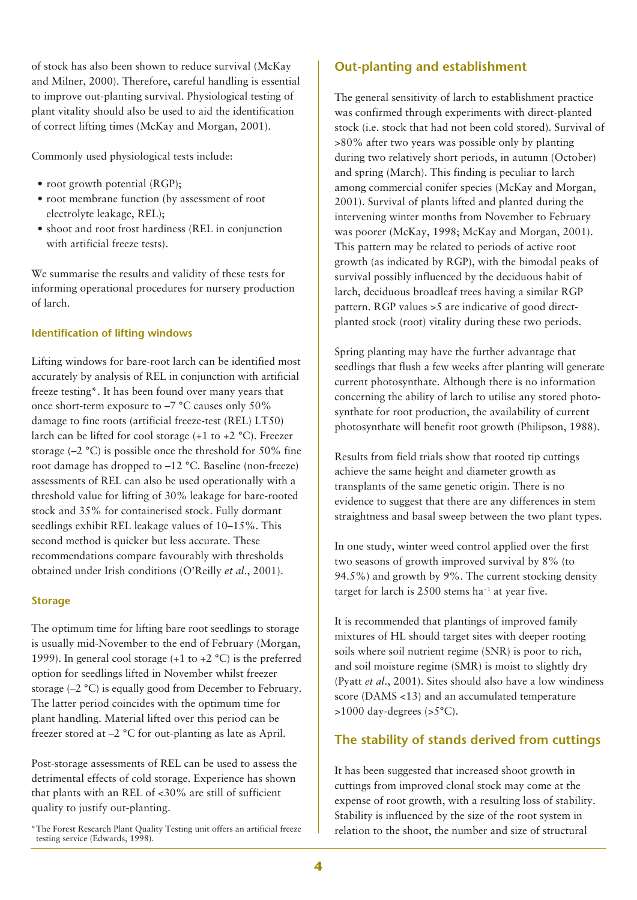of stock has also been shown to reduce survival (McKay and Milner, 2000). Therefore, careful handling is essential to improve out-planting survival. Physiological testing of plant vitality should also be used to aid the identification of correct lifting times (McKay and Morgan, 2001).

Commonly used physiological tests include:

- root growth potential (RGP);
- root membrane function (by assessment of root electrolyte leakage, REL);
- shoot and root frost hardiness (REL in conjunction with artificial freeze tests).

We summarise the results and validity of these tests for informing operational procedures for nursery production of larch.

#### **Identification of lifting windows**

Lifting windows for bare-root larch can be identified most accurately by analysis of REL in conjunction with artificial freeze testing\*. It has been found over many years that once short-term exposure to –7 °C causes only 50% damage to fine roots (artificial freeze-test (REL) LT50) larch can be lifted for cool storage (+1 to +2 °C). Freezer storage  $(-2 \degree C)$  is possible once the threshold for 50% fine root damage has dropped to –12 °C. Baseline (non-freeze) assessments of REL can also be used operationally with a threshold value for lifting of 30% leakage for bare-rooted stock and 35% for containerised stock. Fully dormant seedlings exhibit REL leakage values of 10–15%. This second method is quicker but less accurate. These recommendations compare favourably with thresholds obtained under Irish conditions (O'Reilly *et al*., 2001).

#### **Storage**

The optimum time for lifting bare root seedlings to storage is usually mid-November to the end of February (Morgan, 1999). In general cool storage  $(+1 \text{ to } +2 \degree C)$  is the preferred option for seedlings lifted in November whilst freezer storage (–2 °C) is equally good from December to February. The latter period coincides with the optimum time for plant handling. Material lifted over this period can be freezer stored at –2 °C for out-planting as late as April.

Post-storage assessments of REL can be used to assess the detrimental effects of cold storage. Experience has shown that plants with an REL of <30% are still of sufficient quality to justify out-planting.

\*The Forest Research Plant Quality Testing unit offers an artificial freeze relation to the shoot, the number and size of structural testing service (Edwards, 1998).

### **Out-planting and establishment**

The general sensitivity of larch to establishment practice was confirmed through experiments with direct-planted stock (i.e. stock that had not been cold stored). Survival of >80% after two years was possible only by planting during two relatively short periods, in autumn (October) and spring (March). This finding is peculiar to larch among commercial conifer species (McKay and Morgan, 2001). Survival of plants lifted and planted during the intervening winter months from November to February was poorer (McKay, 1998; McKay and Morgan, 2001). This pattern may be related to periods of active root growth (as indicated by RGP), with the bimodal peaks of survival possibly influenced by the deciduous habit of larch, deciduous broadleaf trees having a similar RGP pattern. RGP values >5 are indicative of good directplanted stock (root) vitality during these two periods.

Spring planting may have the further advantage that seedlings that flush a few weeks after planting will generate current photosynthate. Although there is no information concerning the ability of larch to utilise any stored photosynthate for root production, the availability of current photosynthate will benefit root growth (Philipson, 1988).

Results from field trials show that rooted tip cuttings achieve the same height and diameter growth as transplants of the same genetic origin. There is no evidence to suggest that there are any differences in stem straightness and basal sweep between the two plant types.

In one study, winter weed control applied over the first two seasons of growth improved survival by 8% (to 94.5%) and growth by 9%. The current stocking density target for larch is  $2500$  stems ha<sup>-1</sup> at year five.

It is recommended that plantings of improved family mixtures of HL should target sites with deeper rooting soils where soil nutrient regime (SNR) is poor to rich, and soil moisture regime (SMR) is moist to slightly dry (Pyatt *et al*., 2001). Sites should also have a low windiness score (DAMS <13) and an accumulated temperature  $>1000$  day-degrees ( $>5$ °C).

### **The stability of stands derived from cuttings**

It has been suggested that increased shoot growth in cuttings from improved clonal stock may come at the expense of root growth, with a resulting loss of stability. Stability is influenced by the size of the root system in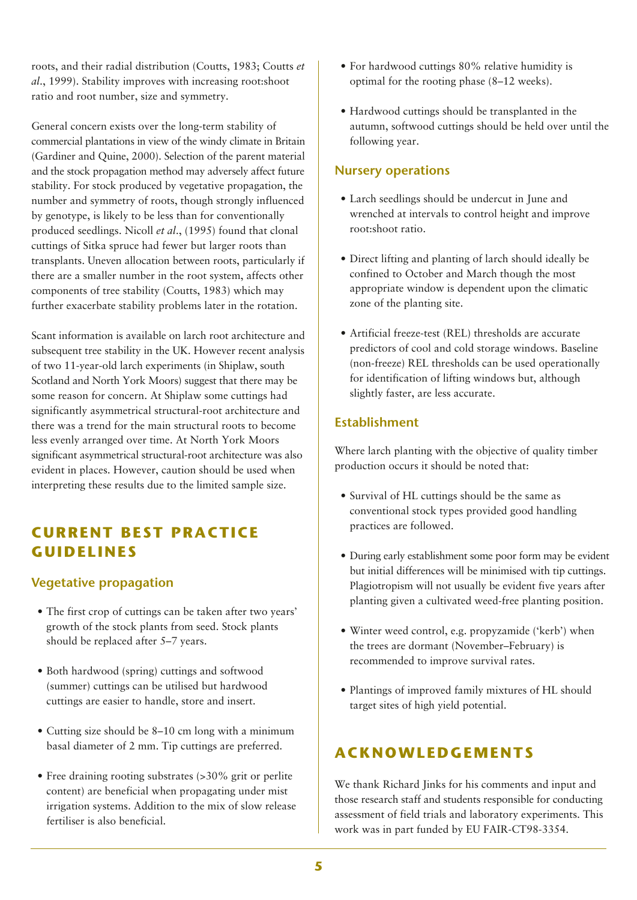roots, and their radial distribution (Coutts, 1983; Coutts *et al*., 1999). Stability improves with increasing root:shoot ratio and root number, size and symmetry.

General concern exists over the long-term stability of commercial plantations in view of the windy climate in Britain (Gardiner and Quine, 2000). Selection of the parent material and the stock propagation method may adversely affect future stability. For stock produced by vegetative propagation, the number and symmetry of roots, though strongly influenced by genotype, is likely to be less than for conventionally produced seedlings. Nicoll *et al*., (1995) found that clonal cuttings of Sitka spruce had fewer but larger roots than transplants. Uneven allocation between roots, particularly if there are a smaller number in the root system, affects other components of tree stability (Coutts, 1983) which may further exacerbate stability problems later in the rotation.

Scant information is available on larch root architecture and subsequent tree stability in the UK. However recent analysis of two 11-year-old larch experiments (in Shiplaw, south Scotland and North York Moors) suggest that there may be some reason for concern. At Shiplaw some cuttings had significantly asymmetrical structural-root architecture and there was a trend for the main structural roots to become less evenly arranged over time. At North York Moors significant asymmetrical structural-root architecture was also evident in places. However, caution should be used when interpreting these results due to the limited sample size.

## **CURRENT BEST PRACTICE GUIDELINES**

#### **Vegetative propagation**

- The first crop of cuttings can be taken after two years' growth of the stock plants from seed. Stock plants should be replaced after 5–7 years.
- Both hardwood (spring) cuttings and softwood (summer) cuttings can be utilised but hardwood cuttings are easier to handle, store and insert.
- Cutting size should be 8–10 cm long with a minimum basal diameter of 2 mm. Tip cuttings are preferred.
- Free draining rooting substrates (>30% grit or perlite content) are beneficial when propagating under mist irrigation systems. Addition to the mix of slow release fertiliser is also beneficial.
- For hardwood cuttings 80% relative humidity is optimal for the rooting phase (8–12 weeks).
- Hardwood cuttings should be transplanted in the autumn, softwood cuttings should be held over until the following year.

#### **Nursery operations**

- Larch seedlings should be undercut in June and wrenched at intervals to control height and improve root:shoot ratio.
- Direct lifting and planting of larch should ideally be confined to October and March though the most appropriate window is dependent upon the climatic zone of the planting site.
- Artificial freeze-test (REL) thresholds are accurate predictors of cool and cold storage windows. Baseline (non-freeze) REL thresholds can be used operationally for identification of lifting windows but, although slightly faster, are less accurate.

#### **Establishment**

Where larch planting with the objective of quality timber production occurs it should be noted that:

- Survival of HL cuttings should be the same as conventional stock types provided good handling practices are followed.
- During early establishment some poor form may be evident but initial differences will be minimised with tip cuttings. Plagiotropism will not usually be evident five years after planting given a cultivated weed-free planting position.
- Winter weed control, e.g. propyzamide ('kerb') when the trees are dormant (November–February) is recommended to improve survival rates.
- Plantings of improved family mixtures of HL should target sites of high yield potential.

## **ACKNOWLEDGEMENTS**

We thank Richard Jinks for his comments and input and those research staff and students responsible for conducting assessment of field trials and laboratory experiments. This work was in part funded by EU FAIR-CT98-3354.